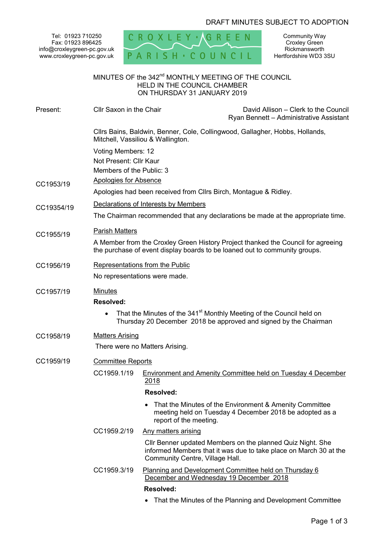# DRAFT MINUTES SUBJECT TO ADOPTION

Tel: 01923 710250 Fax: 01923 896425 info@croxleygreen-pc.gov.uk www.croxleygreen-pc.gov.uk



Community Way Croxley Green Rickmansworth Hertfordshire WD3 3SU

# MINUTES OF the 342<sup>nd</sup> MONTHLY MEETING OF THE COUNCIL HELD IN THE COUNCIL CHAMBER ON THURSDAY 31 JANUARY 2019

| Present:   | Cllr Saxon in the Chair                                                                                                                                        |                                 | David Allison - Clerk to the Council<br>Ryan Bennett - Administrative Assistant                                                                      |
|------------|----------------------------------------------------------------------------------------------------------------------------------------------------------------|---------------------------------|------------------------------------------------------------------------------------------------------------------------------------------------------|
|            | Cllrs Bains, Baldwin, Benner, Cole, Collingwood, Gallagher, Hobbs, Hollands,<br>Mitchell, Vassiliou & Wallington.                                              |                                 |                                                                                                                                                      |
|            | Voting Members: 12                                                                                                                                             |                                 |                                                                                                                                                      |
|            | Not Present: Cllr Kaur                                                                                                                                         |                                 |                                                                                                                                                      |
|            | Members of the Public: 3                                                                                                                                       |                                 |                                                                                                                                                      |
| CC1953/19  | <b>Apologies for Absence</b>                                                                                                                                   |                                 |                                                                                                                                                      |
|            | Apologies had been received from Cllrs Birch, Montague & Ridley.                                                                                               |                                 |                                                                                                                                                      |
| CC19354/19 | Declarations of Interests by Members                                                                                                                           |                                 |                                                                                                                                                      |
|            | The Chairman recommended that any declarations be made at the appropriate time.                                                                                |                                 |                                                                                                                                                      |
| CC1955/19  | <b>Parish Matters</b>                                                                                                                                          |                                 |                                                                                                                                                      |
|            | A Member from the Croxley Green History Project thanked the Council for agreeing<br>the purchase of event display boards to be loaned out to community groups. |                                 |                                                                                                                                                      |
| CC1956/19  | Representations from the Public                                                                                                                                |                                 |                                                                                                                                                      |
|            | No representations were made.                                                                                                                                  |                                 |                                                                                                                                                      |
| CC1957/19  | <b>Minutes</b><br>Resolved:                                                                                                                                    |                                 |                                                                                                                                                      |
|            |                                                                                                                                                                |                                 | That the Minutes of the 341 <sup>st</sup> Monthly Meeting of the Council held on<br>Thursday 20 December 2018 be approved and signed by the Chairman |
| CC1958/19  | <b>Matters Arising</b>                                                                                                                                         |                                 |                                                                                                                                                      |
|            | There were no Matters Arising.                                                                                                                                 |                                 |                                                                                                                                                      |
| CC1959/19  | <b>Committee Reports</b>                                                                                                                                       |                                 |                                                                                                                                                      |
|            | CC1959.1/19                                                                                                                                                    | <u>2018</u>                     | Environment and Amenity Committee held on Tuesday 4 December                                                                                         |
|            |                                                                                                                                                                | Resolved:                       |                                                                                                                                                      |
|            |                                                                                                                                                                | report of the meeting.          | That the Minutes of the Environment & Amenity Committee<br>meeting held on Tuesday 4 December 2018 be adopted as a                                   |
|            | CC1959.2/19                                                                                                                                                    | Any matters arising             |                                                                                                                                                      |
|            |                                                                                                                                                                | Community Centre, Village Hall. | Cllr Benner updated Members on the planned Quiz Night. She<br>informed Members that it was due to take place on March 30 at the                      |
|            | CC1959.3/19                                                                                                                                                    |                                 | Planning and Development Committee held on Thursday 6<br>December and Wednesday 19 December 2018                                                     |
|            |                                                                                                                                                                | Resolved:                       |                                                                                                                                                      |
|            |                                                                                                                                                                |                                 |                                                                                                                                                      |

That the Minutes of the Planning and Development Committee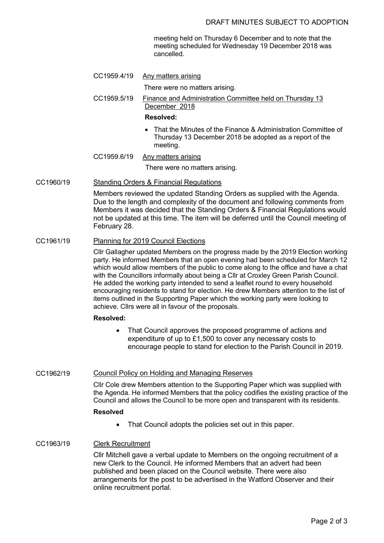meeting held on Thursday 6 December and to note that the meeting scheduled for Wednesday 19 December 2018 was cancelled.

CC1959.4/19 Any matters arising

There were no matters arising.

CC1959.5/19 Finance and Administration Committee held on Thursday 13 December 2018

#### **Resolved:**

- That the Minutes of the Finance & Administration Committee of Thursday 13 December 2018 be adopted as a report of the meeting.
- CC1959.6/19 Any matters arising

There were no matters arising.

## CC1960/19 Standing Orders & Financial Regulations

Members reviewed the updated Standing Orders as supplied with the Agenda. Due to the length and complexity of the document and following comments from Members it was decided that the Standing Orders & Financial Regulations would not be updated at this time. The item will be deferred until the Council meeting of February 28.

## CC1961/19 Planning for 2019 Council Elections

Cllr Gallagher updated Members on the progress made by the 2019 Election working party. He informed Members that an open evening had been scheduled for March 12 which would allow members of the public to come along to the office and have a chat with the Councillors informally about being a Cllr at Croxley Green Parish Council. He added the working party intended to send a leaflet round to every household encouraging residents to stand for election. He drew Members attention to the list of items outlined in the Supporting Paper which the working party were looking to achieve. Cllrs were all in favour of the proposals.

## **Resolved:**

• That Council approves the proposed programme of actions and expenditure of up to £1,500 to cover any necessary costs to encourage people to stand for election to the Parish Council in 2019.

## CC1962/19 Council Policy on Holding and Managing Reserves

Cllr Cole drew Members attention to the Supporting Paper which was supplied with the Agenda. He informed Members that the policy codifies the existing practice of the Council and allows the Council to be more open and transparent with its residents.

# **Resolved**

• That Council adopts the policies set out in this paper.

# CC1963/19 Clerk Recruitment

Cllr Mitchell gave a verbal update to Members on the ongoing recruitment of a new Clerk to the Council. He informed Members that an advert had been published and been placed on the Council website. There were also arrangements for the post to be advertised in the Watford Observer and their online recruitment portal.